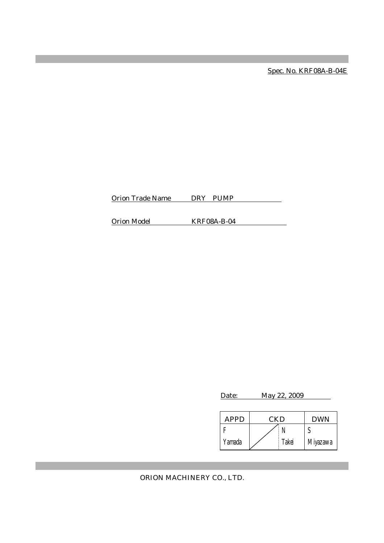Spec. No. KRF08A-B-04E

Orion Trade Name DRY PUMP

Orion Model KRF08A-B-04

Date: May 22, 2009

| APPD   | CKD |       | <b>DWN</b> |
|--------|-----|-------|------------|
|        |     |       |            |
| Yamada |     | Takei | Miyazawa   |

ORION MACHINERY CO., LTD.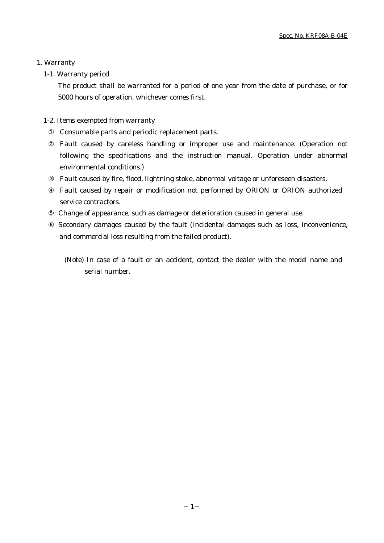### 1. Warranty

# 1-1. Warranty period

The product shall be warranted for a period of one year from the date of purchase, or for 5000 hours of operation, whichever comes first.

# 1-2. Items exempted from warranty

Consumable parts and periodic replacement parts.

Fault caused by careless handling or improper use and maintenance. (Operation not following the specifications and the instruction manual. Operation under abnormal environmental conditions.)

Fault caused by fire, flood, lightning stoke, abnormal voltage or unforeseen disasters.

Fault caused by repair or modification not performed by ORION or ORION authorized service contractors.

Change of appearance, such as damage or deterioration caused in general use.

 Secondary damages caused by the fault (Incidental damages such as loss, inconvenience, and commercial loss resulting from the failed product).

(Note) In case of a fault or an accident, contact the dealer with the model name and serial number.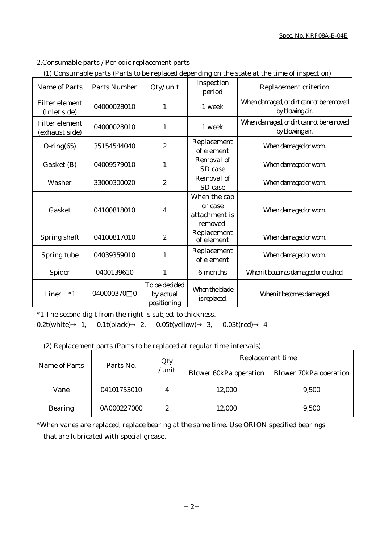# 2.Consumable parts / Periodic replacement parts

| (1) Consumable parts (Parts to be replaced depending on the state at the time of inspection) |  |
|----------------------------------------------------------------------------------------------|--|

| Name of Parts                    | <b>Parts Number</b>   | Qty/ unit                                 | Inspection<br>period                                 | Replacement criterion                                      |
|----------------------------------|-----------------------|-------------------------------------------|------------------------------------------------------|------------------------------------------------------------|
| Filter element<br>(Inlet side)   | 04000028010           | 1                                         | 1 week                                               | When damaged, or dirt cannot be removed<br>by blowing air. |
| Filter element<br>(exhaust side) | 04000028010           | 1                                         | 1 week                                               | When damaged, or dirt cannot be removed<br>by blowing air. |
| $O\text{-ring}(65)$              | 35154544040           | $\boldsymbol{2}$                          | Replacement<br>of element                            | When damaged or worn.                                      |
| Gasket (B)                       | 04009579010           | 1                                         | Removal of<br>SD case                                | When damaged or worn.                                      |
| Washer                           | 33000300020           | $\boldsymbol{2}$                          | Removal of<br>SD case                                | When damaged or worn.                                      |
| Gasket                           | 04100818010           | 4                                         | When the cap<br>or case<br>attachment is<br>removed. | When damaged or worn.                                      |
| Spring shaft                     | 04100817010           | $\boldsymbol{2}$                          | Replacement<br>of element                            | When damaged or worn.                                      |
| Spring tube                      | 04039359010           | 1                                         | Replacement<br>of element                            | When damaged or worn.                                      |
| Spider                           | 0400139610            | $\mathbf{1}$                              | 6 months                                             | When it becomes damaged or crushed.                        |
| Liner<br>$*1$                    | 040000370<br>$\theta$ | To be decided<br>by actual<br>positioning | When the blade<br>is replaced.                       | When it becomes damaged.                                   |

\*1 The second digit from the right is subject to thickness. 0.2t(white) 1, 0.1t(black) 2, 0.05t(yellow) 3, 0.03t(red) 4

# (2) Replacement parts (Parts to be replaced at regular time intervals)

|                |           |             | Qty                           | Replacement time              |       |
|----------------|-----------|-------------|-------------------------------|-------------------------------|-------|
| Name of Parts  | Parts No. | unit        | <b>Blower 60kPa operation</b> | <b>Blower 70kPa operation</b> |       |
| Vane           |           | 04101753010 | 4                             | 12,000                        | 9,500 |
| <b>Bearing</b> |           | 0A000227000 | 2                             | 12,000                        | 9,500 |

\*When vanes are replaced, replace bearing at the same time. Use ORION specified bearings that are lubricated with special grease.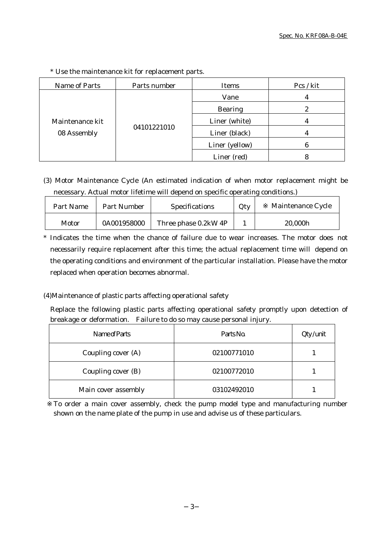| Name of Parts                  | Parts number | Items                           | Pcs / kit |
|--------------------------------|--------------|---------------------------------|-----------|
| Maintenance kit<br>08 Assembly |              | Vane                            |           |
|                                |              | <b>Bearing</b>                  | 2         |
|                                |              | Liner (white)                   |           |
|                                | 04101221010  | Liner (black)<br>Liner (yellow) |           |
|                                |              |                                 |           |
|                                |              | Liner (red)                     |           |

\* Use the maintenance kit for replacement parts.

(3) Motor Maintenance Cycle (An estimated indication of when motor replacement might be necessary. Actual motor lifetime will depend on specific operating conditions.)

| Part Name | Part Number | <b>Specifications</b> | Qty | Maintenance Cycle |
|-----------|-------------|-----------------------|-----|-------------------|
| Motor     | 0A001958000 | Three phase 0.2kW 4P  |     | 20,000h           |

\* Indicates the time when the chance of failure due to wear increases. The motor does not necessarily require replacement after this time; the actual replacement time will depend on the operating conditions and environment of the particular installation. Please have the motor replaced when operation becomes abnormal.

# (4)Maintenance of plastic parts affecting operational safety

Replace the following plastic parts affecting operational safety promptly upon detection of breakage or deformation. Failure to do so may cause personal injury.

| Name of Parts       | Parts No.   | $Qty$ / unit |
|---------------------|-------------|--------------|
| Coupling cover (A)  | 02100771010 |              |
| Coupling cover (B)  | 02100772010 |              |
| Main cover assembly | 03102492010 |              |

To order a main cover assembly, check the pump model type and manufacturing number shown on the name plate of the pump in use and advise us of these particulars.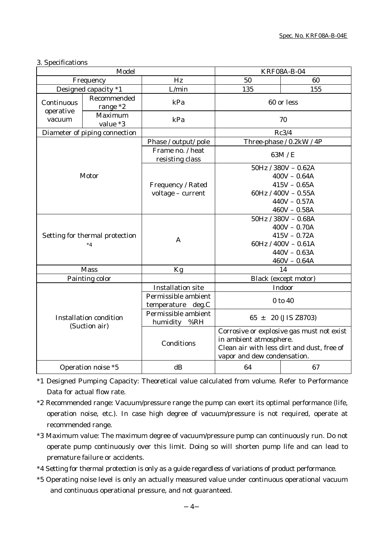#### 3. Specifications

| Model                                          |                               | <b>KRF08A-B-04</b>                  |                                            |                          |  |
|------------------------------------------------|-------------------------------|-------------------------------------|--------------------------------------------|--------------------------|--|
| Frequency                                      |                               | Hz                                  | 50                                         | 60                       |  |
|                                                | Designed capacity *1          | L/min                               | 135                                        | 155                      |  |
| Recommended<br>Continuous<br>range *2          |                               | kPa                                 | 60 or less                                 |                          |  |
| operative<br>vacuum                            | Maximum<br>value *3           | kPa                                 | 70                                         |                          |  |
|                                                | Diameter of piping connection |                                     | Rc3/4                                      |                          |  |
|                                                |                               | Phase / output/ pole                | Three-phase / 0.2kW / 4P                   |                          |  |
|                                                |                               | Frame no. / heat<br>resisting class | 63M / E                                    |                          |  |
|                                                |                               |                                     |                                            | $50$ Hz / $380V - 0.62A$ |  |
|                                                | Motor                         |                                     |                                            | $400V - 0.64A$           |  |
|                                                |                               | Frequency / Rated                   |                                            | $415V - 0.65A$           |  |
|                                                |                               | voltage - current                   |                                            | 60Hz / $400V - 0.55A$    |  |
|                                                |                               |                                     | $440V - 0.57A$                             |                          |  |
|                                                |                               |                                     | $460V - 0.58A$                             |                          |  |
| Setting for thermal protection                 |                               |                                     | $50Hz / 380V - 0.68A$                      |                          |  |
|                                                |                               |                                     |                                            | $400V - 0.70A$           |  |
|                                                |                               | A                                   | $415V - 0.72A$                             |                          |  |
|                                                | $*_{4}$                       |                                     | $60Hz / 400V - 0.61A$                      |                          |  |
|                                                |                               |                                     | $440V - 0.63A$                             |                          |  |
|                                                |                               |                                     | $460V - 0.64A$                             |                          |  |
|                                                | <b>Mass</b>                   | Kg                                  | 14                                         |                          |  |
|                                                | Painting color                |                                     |                                            | Black (except motor)     |  |
|                                                |                               | <b>Installation site</b>            |                                            | Indoor                   |  |
|                                                |                               | Permissible ambient                 | 0 to 40                                    |                          |  |
|                                                |                               | temperature deg.C                   |                                            |                          |  |
| <b>Installation condition</b><br>(Suction air) |                               | Permissible ambient<br>humidity %RH | $65 \pm 20$ (JIS Z8703)                    |                          |  |
|                                                |                               |                                     | Corrosive or explosive gas must not exist  |                          |  |
|                                                |                               | Conditions                          | in ambient atmosphere.                     |                          |  |
|                                                |                               |                                     | Clean air with less dirt and dust, free of |                          |  |
|                                                |                               |                                     | vapor and dew condensation.                |                          |  |
|                                                | Operation noise *5            | dB                                  | 64                                         | 67                       |  |

\*1 Designed Pumping Capacity: Theoretical value calculated from volume. Refer to Performance Data for actual flow rate.

- \*2 Recommended range: Vacuum/pressure range the pump can exert its optimal performance (life, operation noise, etc.). In case high degree of vacuum/pressure is not required, operate at recommended range.
- \*3 Maximum value: The maximum degree of vacuum/pressure pump can continuously run. Do not operate pump continuously over this limit. Doing so will shorten pump life and can lead to premature failure or accidents.
- \*4 Setting for thermal protection is only as a guide regardless of variations of product performance.
- \*5 Operating noise level is only an actually measured value under continuous operational vacuum and continuous operational pressure, and not guaranteed.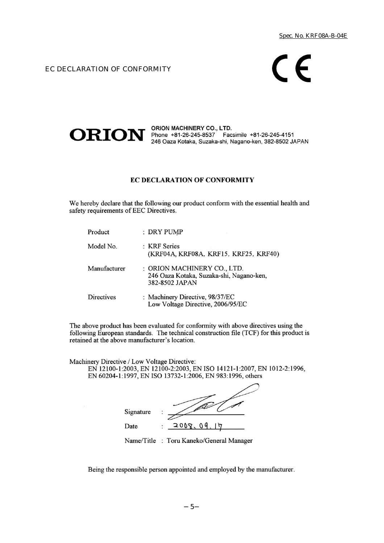EC DECLARATION OF CONFORMITY

# $C \in$



ORION MACHINERY CO., LTD.<br>246 Oaza Kotaka, Suzaka-shi, Nagano-ken, 382-8502 JAPAN

#### **EC DECLARATION OF CONFORMITY**

We hereby declare that the following our product conform with the essential health and safety requirements of EEC Directives.

| Product           | : DRY PUMP                                                                                |
|-------------------|-------------------------------------------------------------------------------------------|
| Model No.         | : KRF Series<br>(KRF04A, KRF08A, KRF15, KRF25, KRF40)                                     |
| Manufacturer      | : ORION MACHINERY CO., LTD.<br>246 Oaza Kotaka, Suzaka-shi, Nagano-ken,<br>382-8502 JAPAN |
| <b>Directives</b> | : Machinery Directive, 98/37/EC<br>Low Voltage Directive, 2006/95/EC                      |

The above product has been evaluated for conformity with above directives using the following European standards. The technical construction file (TCF) for this product is retained at the above manufacturer's location.

Machinery Directive / Low Voltage Directive: EN 12100-1:2003, EN 12100-2:2003, EN ISO 14121-1:2007, EN 1012-2:1996, EN 60204-1:1997, EN ISO 13732-1:2006, EN 983:1996, others

| Signature |            |
|-----------|------------|
| Date      | 2008.09.17 |

Name/Title : Toru Kaneko/General Manager

Being the responsible person appointed and employed by the manufacturer.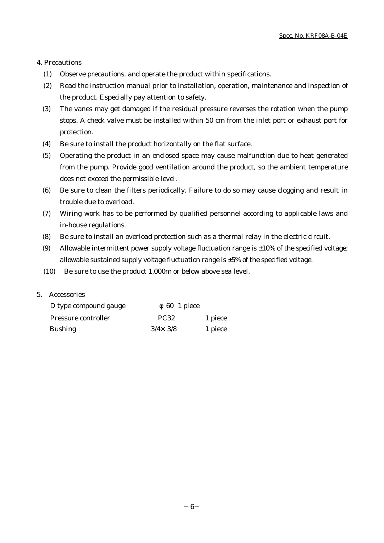#### 4. Precautions

- (1) Observe precautions, and operate the product within specifications.
- (2) Read the instruction manual prior to installation, operation, maintenance and inspection of the product. Especially pay attention to safety.
- (3) The vanes may get damaged if the residual pressure reverses the rotation when the pump stops. A check valve must be installed within 50 cm from the inlet port or exhaust port for protection.
- (4) Be sure to install the product horizontally on the flat surface.
- (5) Operating the product in an enclosed space may cause malfunction due to heat generated from the pump. Provide good ventilation around the product, so the ambient temperature does not exceed the permissible level.
- (6) Be sure to clean the filters periodically. Failure to do so may cause clogging and result in trouble due to overload.
- (7) Wiring work has to be performed by qualified personnel according to applicable laws and in-house regulations.
- (8) Be sure to install an overload protection such as a thermal relay in the electric circuit.
- (9) Allowable intermittent power supply voltage fluctuation range is  $\pm 10\%$  of the specified voltage; allowable sustained supply voltage fluctuation range is  $\pm 5\%$  of the specified voltage.
- (10) Be sure to use the product 1,000m or below above sea level.

#### 5. Accessories

| D type compound gauge | 60 1 piece       |         |
|-----------------------|------------------|---------|
| Pressure controller   | <b>PC32</b>      | 1 piece |
| <b>Bushing</b>        | $3/4 \times 3/8$ | 1 piece |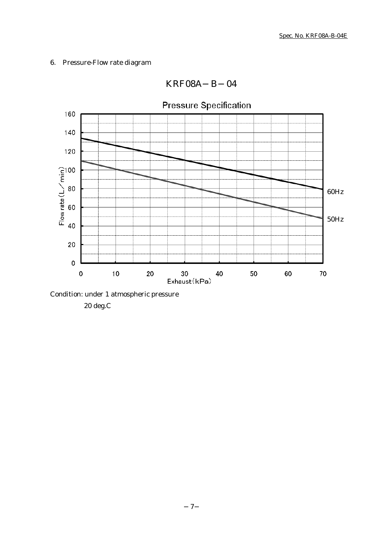# 6. Pressure-Flow rate diagram



KRF08A B 04

Condition: under 1 atmospheric pressure

20 deg.C